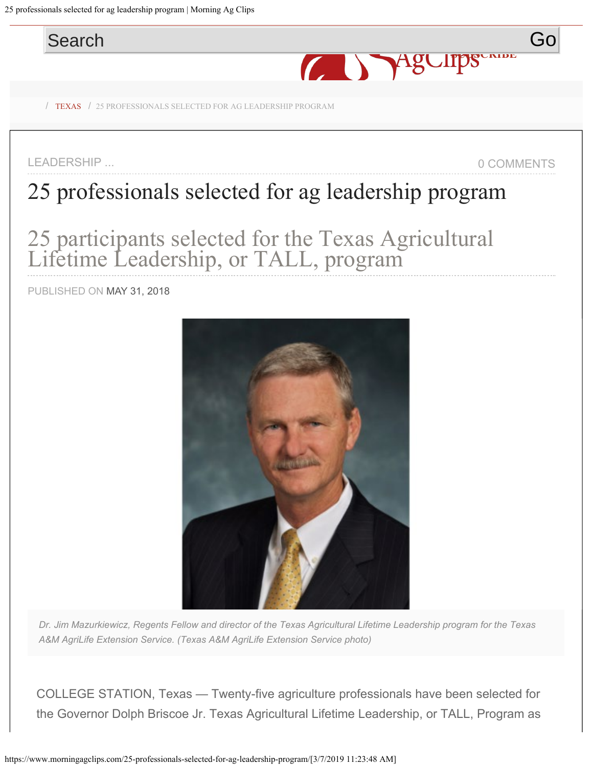<span id="page-0-0"></span>25 professionals selected for ag leadership program | Morning Ag Clips



LEADERSHIP ... 0 COMMENTS

# [25 professionals se](https://www.morningagclips.com/us-map/)lected for ag leadership program

25 participants selected for the Texas Agricultural Lifetime Leadership, or TALL, program

PUBLISHED ON MAY 31, 2018



*Dr. Jim Mazurkiewicz, Regents Fellow and director of the Texas Agricultural Lifetime Leadership program for the Texas A&M AgriLife Extension Service. (Texas A&M AgriLife Extension Service photo)*

COLLEGE STATION, Texas — Twenty-five agriculture professionals have been selected for the Governor Dolph Briscoe Jr. Texas Agricultural Lifetime Leadership, or TALL, Program as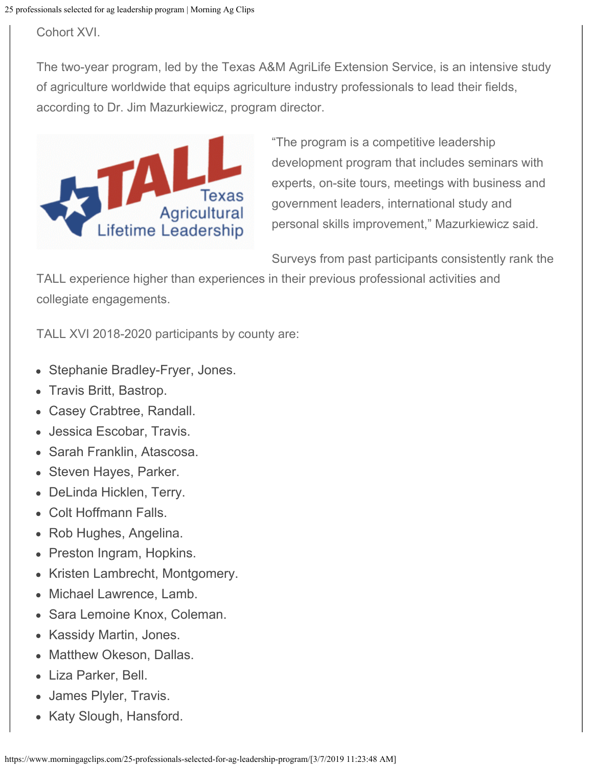Cohort XVI.

The two-year program, led by the Texas A&M AgriLife Extension Service, is an intensive study of agriculture worldwide that equips agriculture industry professionals to lead their fields, according to Dr. Jim Mazurkiewicz, program director.



"The program is a competitive leadership development program that includes seminars with experts, on-site tours, meetings with business and government leaders, international study and personal skills improvement," Mazurkiewicz said.

Surveys from past participants consistently rank the

TALL experience higher than experiences in their previous professional activities and collegiate engagements.

TALL XVI 2018-2020 participants by county are:

- Stephanie Bradley-Fryer, Jones.
- Travis Britt, Bastrop.
- Casey Crabtree, Randall.
- Jessica Escobar, Travis.
- Sarah Franklin, Atascosa.
- Steven Hayes, Parker.
- DeLinda Hicklen, Terry.
- Colt Hoffmann Falls.
- Rob Hughes, Angelina.
- Preston Ingram, Hopkins.
- Kristen Lambrecht, Montgomery.
- Michael Lawrence, Lamb.
- Sara Lemoine Knox, Coleman.
- Kassidy Martin, Jones.
- Matthew Okeson, Dallas.
- Liza Parker, Bell.
- James Plyler, Travis.
- Katy Slough, Hansford.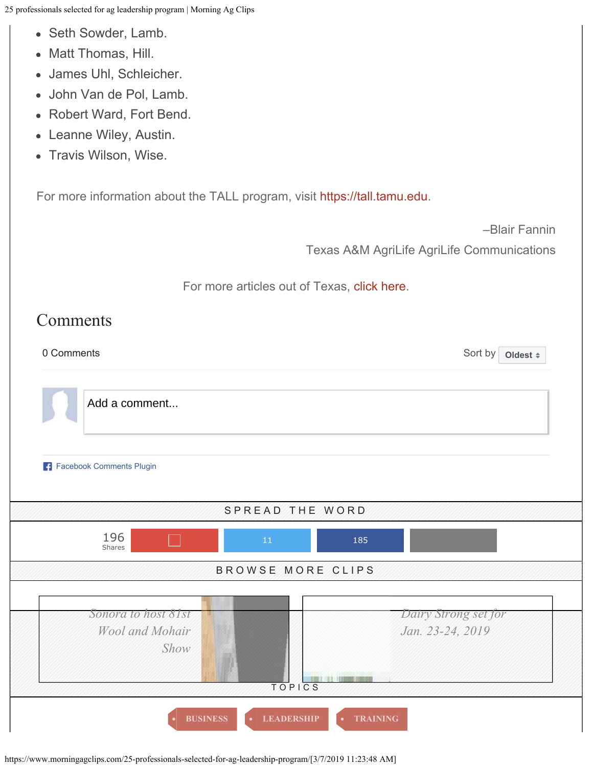25 professionals selected for ag leadership program | Morning Ag Clips

- Seth Sowder, Lamb.
- Matt Thomas, Hill.
- James Uhl, Schleicher.
- John Van de Pol, Lamb.
- Robert Ward, Fort Bend.
- Leanne Wiley, Austin.
- Travis Wilson, Wise.

For more information about the TALL program, visit [https://tall.tamu.edu](https://tall.tamu.edu/).

–Blair Fannin

Texas A&M AgriLife AgriLife Communications

For more articles out of Texas, [click here](https://www.morningagclips.com/category/texas/).

## Comments

0 Comments Sort by Sort by Sort by Sort by Sort by Sort by Sort by Sort by Sort by Sort by Sort by Sort by Sort by Sort by Sort by Sort by Sort by Sort by Sort by Sort by Sort by Sort by Sort by Sort by Sort by Sort by Sor

Sort by | **[Oldest](https://www.facebook.com/plugins/feedback.php?app_id=1415920085105414&channel=https%3A%2F%2Fstaticxx.facebook.com%2Fconnect%2Fxd_arbiter%2Fr%2Fvy-MhgbfL4v.js%3Fversion%3D44%23cb%3Df1430b3c0ee0a3%26domain%3Dwww.morningagclips.com%26origin%3Dhttps%253A%252F%252Fwww.morningagclips.com%252Ff324500e04c758c%26relation%3Dparent.parent&color_scheme=light&container_width=555&height=100&href=https%3A%2F%2Fwww.morningagclips.com%2F25-professionals-selected-for-ag-leadership-program%2F&locale=en_US&numposts=5&sdk=joey&version=v2.3?AcrobatWebCapTID2#)**  $\approx$ 

Add a comment...

[Facebook Comments Plugin](https://developers.facebook.com/products/social-plugins/comments/?utm_campaign=social_plugins&utm_medium=offsite_pages&utm_source=comments_plugin)



https://www.morningagclips.com/25-professionals-selected-for-ag-leadership-program/[3/7/2019 11:23:48 AM]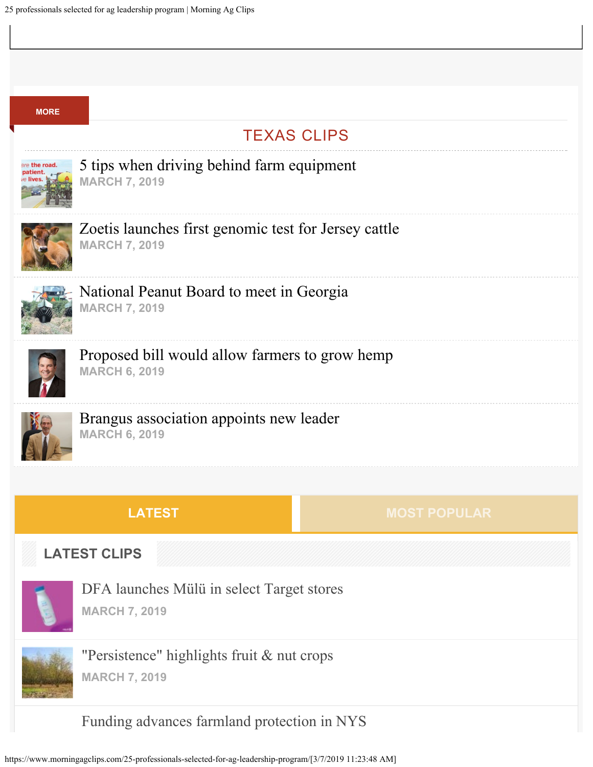| <b>MORE</b>         |                                                                              |                     |
|---------------------|------------------------------------------------------------------------------|---------------------|
| <b>TEXAS CLIPS</b>  |                                                                              |                     |
| are the road.       | 5 tips when driving behind farm equipment<br><b>MARCH 7, 2019</b>            |                     |
|                     | Zoetis launches first genomic test for Jersey cattle<br><b>MARCH 7, 2019</b> |                     |
|                     | National Peanut Board to meet in Georgia<br><b>MARCH 7, 2019</b>             |                     |
|                     | Proposed bill would allow farmers to grow hemp<br><b>MARCH 6, 2019</b>       |                     |
|                     | Brangus association appoints new leader<br><b>MARCH 6, 2019</b>              |                     |
|                     |                                                                              |                     |
|                     | <b>LATEST</b>                                                                | <b>MOST POPULAR</b> |
| <b>LATEST CLIPS</b> |                                                                              |                     |
|                     | DFA launches Mülü in select Target stores<br><b>MARCH 7, 2019</b>            |                     |
|                     | "Persistence" highlights fruit & nut crops<br><b>MARCH 7, 2019</b>           |                     |
|                     | Funding advances farmland protection in NYS                                  |                     |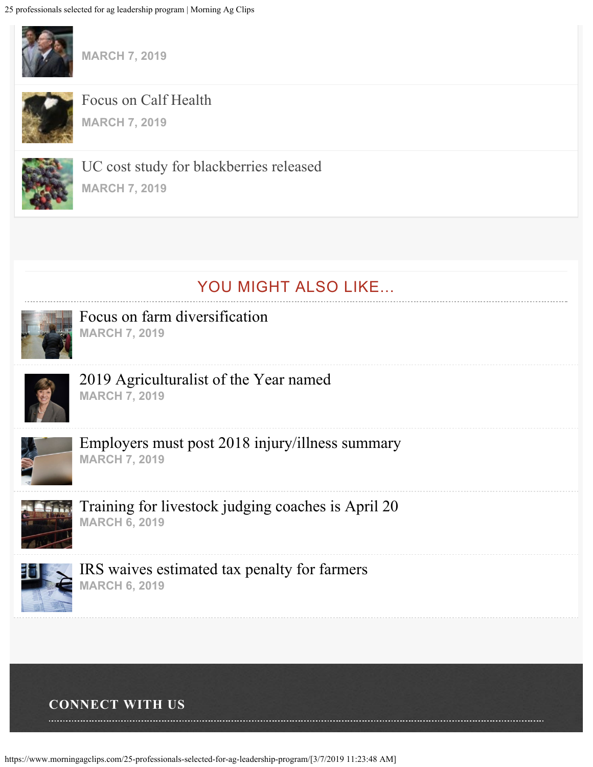

**[MARCH 7, 2019](https://www.morningagclips.com/funding-advances-farmland-protection-in-nys/)**



[Focus on Calf Health](https://www.morningagclips.com/focus-on-calf-health/) **[MARCH 7, 2019](https://www.morningagclips.com/focus-on-calf-health/)**



[UC cost study for blackberries released](https://www.morningagclips.com/uc-cost-study-for-blackberries-released/) **[MARCH 7, 2019](https://www.morningagclips.com/uc-cost-study-for-blackberries-released/)**

# YOU MIGHT ALSO LIKE...



[Focus on farm diversification](https://www.morningagclips.com/focus-on-farm-diversification/) **[MARCH 7, 2019](https://www.morningagclips.com/focus-on-farm-diversification/)**



[2019 Agriculturalist of the Year named](https://www.morningagclips.com/2019-agriculturalist-of-the-year-named/) **[MARCH 7, 2019](https://www.morningagclips.com/2019-agriculturalist-of-the-year-named/)**



[Employers must post 2018 injury/illness summary](https://www.morningagclips.com/employers-must-post-2018-injury-illness-summary/) **[MARCH 7, 2019](https://www.morningagclips.com/employers-must-post-2018-injury-illness-summary/)**



[Training for livestock judging coaches is April 20](https://www.morningagclips.com/training-for-livestock-judging-coaches-is-april-20/) **[MARCH 6, 2019](https://www.morningagclips.com/training-for-livestock-judging-coaches-is-april-20/)**



[IRS waives estimated tax penalty for farmers](https://www.morningagclips.com/irs-waives-estimated-tax-penalty-for-farmers/) **[MARCH 6, 2019](https://www.morningagclips.com/irs-waives-estimated-tax-penalty-for-farmers/)**

### **CONNECT WITH US**